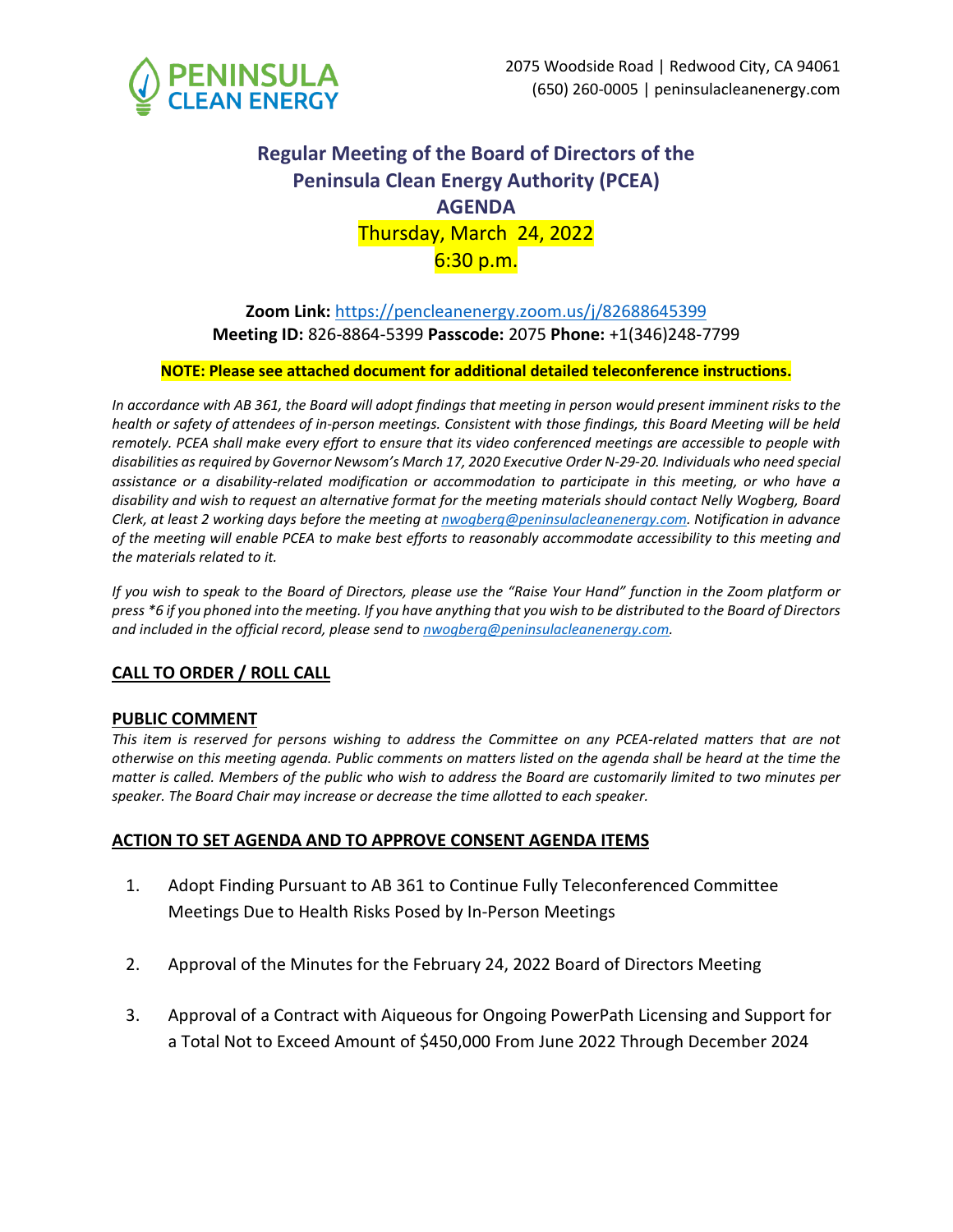

# **Regular Meeting of the Board of Directors of the Peninsula Clean Energy Authority (PCEA) AGENDA** Thursday, March 24, 2022  $6:30 p.m.$

# **Zoom Link:** [https://pencleanenergy.zoom.us/j/82688645399](https://pencleanenergy.zoom.us/j/82688645399?pwd=dXdnMHRFZDlDMnNSWXpPVlRmQzd3Zz09) **Meeting ID:** 826-8864-5399 **Passcode:** 2075 **Phone:** +1(346)248-7799

### **NOTE: Please see attached document for additional detailed teleconference instructions.**

*In accordance with AB 361, the Board will adopt findings that meeting in person would present imminent risks to the health or safety of attendees of in-person meetings. Consistent with those findings, this Board Meeting will be held remotely. PCEA shall make every effort to ensure that its video conferenced meetings are accessible to people with disabilities as required by Governor Newsom's March 17, 2020 Executive Order N-29-20. Individuals who need special assistance or a disability-related modification or accommodation to participate in this meeting, or who have a disability and wish to request an alternative format for the meeting materials should contact Nelly Wogberg, Board Clerk, at least 2 working days before the meeting a[t nwogberg@peninsulacleanenergy.com.](mailto:nwogberg@peninsulacleanenergy.com) Notification in advance of the meeting will enable PCEA to make best efforts to reasonably accommodate accessibility to this meeting and the materials related to it.*

*If you wish to speak to the Board of Directors, please use the "Raise Your Hand" function in the Zoom platform or press \*6 if you phoned into the meeting. If you have anything that you wish to be distributed to the Board of Directors and included in the official record, please send to [nwogberg@peninsulacleanenergy.com.](mailto:nwogberg@peninsulacleanenergy.com)*

# **CALL TO ORDER / ROLL CALL**

### **PUBLIC COMMENT**

*This item is reserved for persons wishing to address the Committee on any PCEA-related matters that are not otherwise on this meeting agenda. Public comments on matters listed on the agenda shall be heard at the time the matter is called. Members of the public who wish to address the Board are customarily limited to two minutes per speaker. The Board Chair may increase or decrease the time allotted to each speaker.*

### **ACTION TO SET AGENDA AND TO APPROVE CONSENT AGENDA ITEMS**

- 1. Adopt Finding Pursuant to AB 361 to Continue Fully Teleconferenced Committee Meetings Due to Health Risks Posed by In-Person Meetings
- 2. Approval of the Minutes for the February 24, 2022 Board of Directors Meeting
- 3. Approval of a Contract with Aiqueous for Ongoing PowerPath Licensing and Support for a Total Not to Exceed Amount of \$450,000 From June 2022 Through December 2024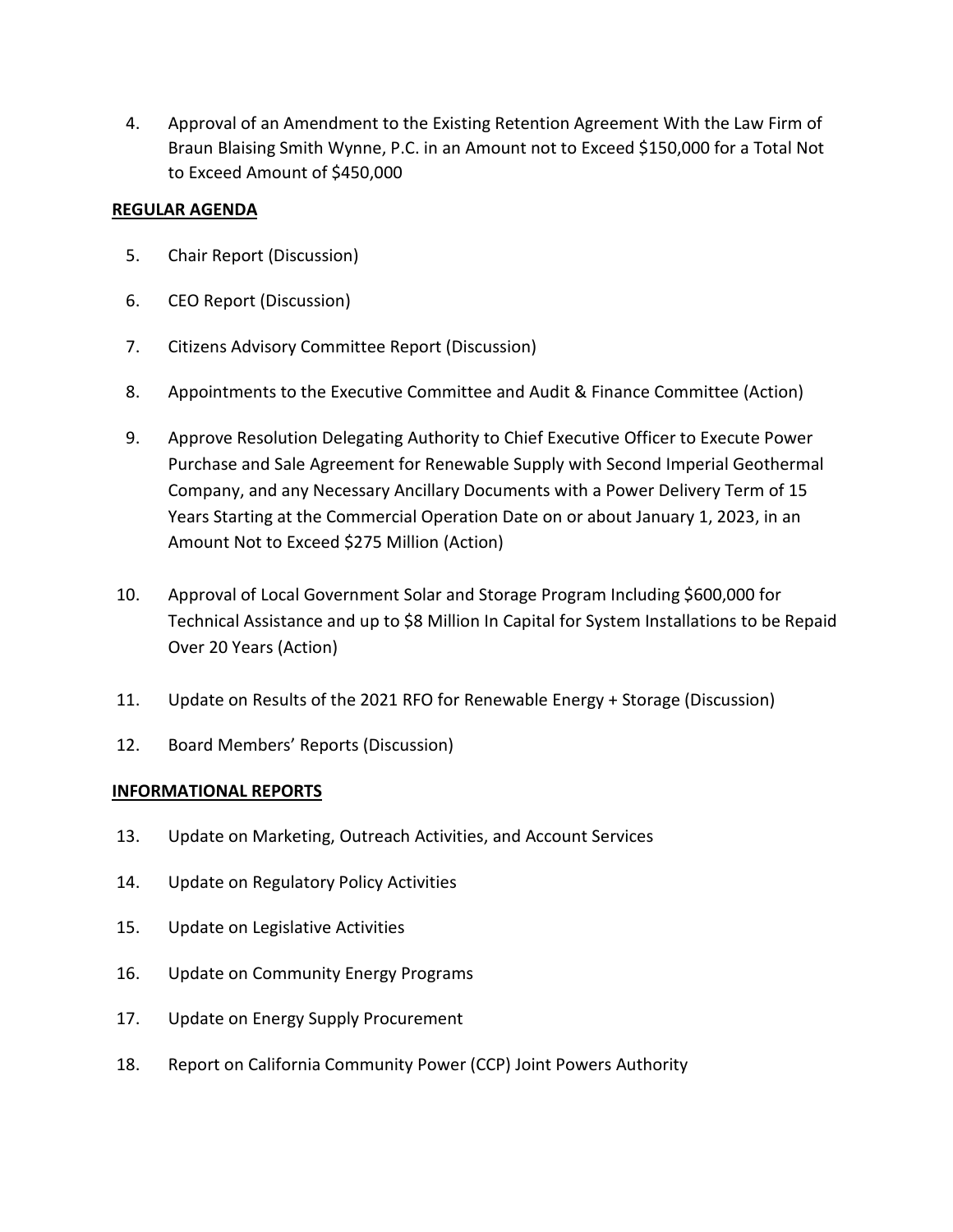4. Approval of an Amendment to the Existing Retention Agreement With the Law Firm of Braun Blaising Smith Wynne, P.C. in an Amount not to Exceed \$150,000 for a Total Not to Exceed Amount of \$450,000

# **REGULAR AGENDA**

- 5. Chair Report (Discussion)
- 6. CEO Report (Discussion)
- 7. Citizens Advisory Committee Report (Discussion)
- 8. Appointments to the Executive Committee and Audit & Finance Committee (Action)
- 9. Approve Resolution Delegating Authority to Chief Executive Officer to Execute Power Purchase and Sale Agreement for Renewable Supply with Second Imperial Geothermal Company, and any Necessary Ancillary Documents with a Power Delivery Term of 15 Years Starting at the Commercial Operation Date on or about January 1, 2023, in an Amount Not to Exceed \$275 Million (Action)
- 10. Approval of Local Government Solar and Storage Program Including \$600,000 for Technical Assistance and up to \$8 Million In Capital for System Installations to be Repaid Over 20 Years (Action)
- 11. Update on Results of the 2021 RFO for Renewable Energy + Storage (Discussion)
- 12. Board Members' Reports (Discussion)

# **INFORMATIONAL REPORTS**

- 13. Update on Marketing, Outreach Activities, and Account Services
- 14. Update on Regulatory Policy Activities
- 15. Update on Legislative Activities
- 16. Update on Community Energy Programs
- 17. Update on Energy Supply Procurement
- 18. Report on California Community Power (CCP) Joint Powers Authority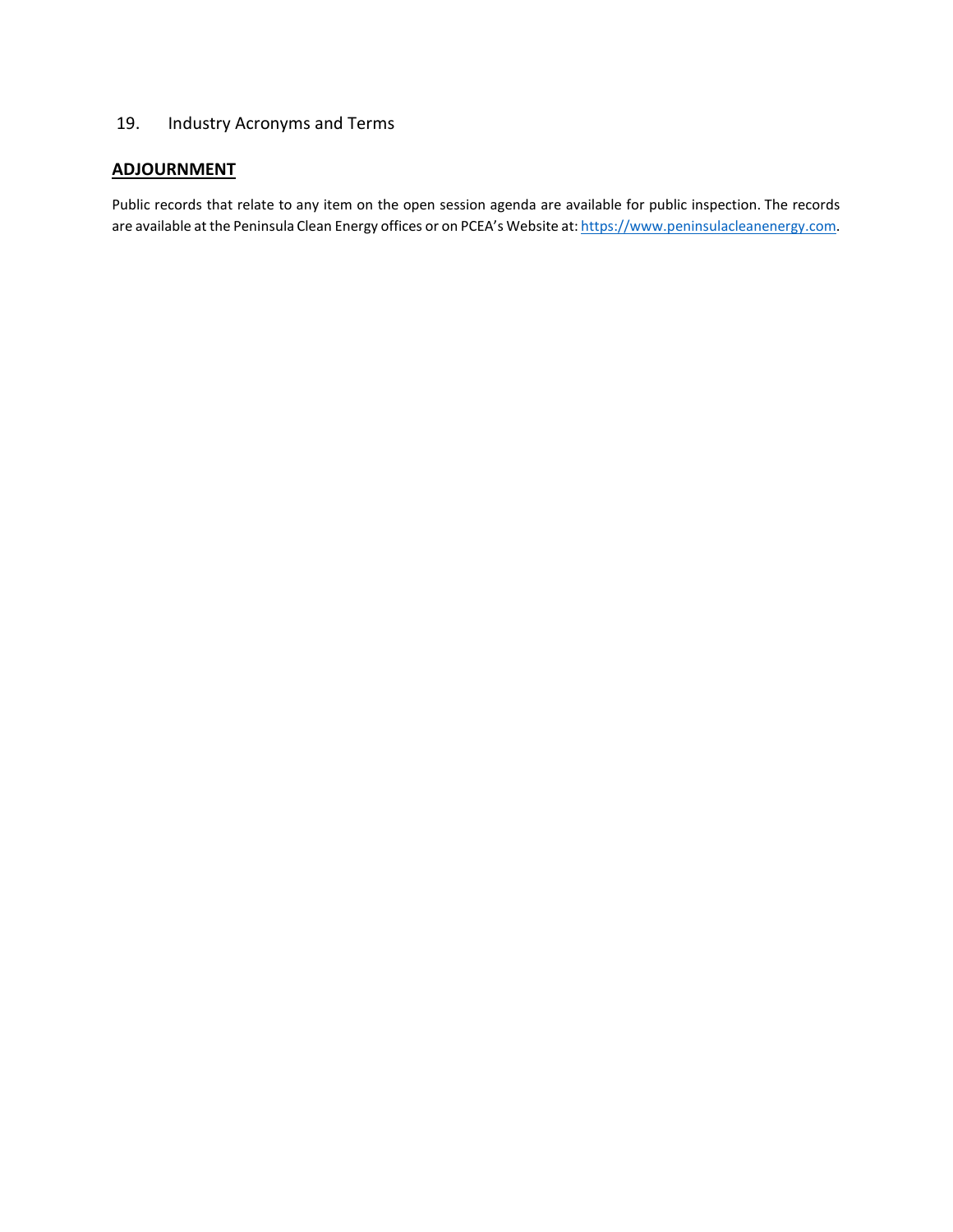# 19. Industry Acronyms and Terms

# **ADJOURNMENT**

Public records that relate to any item on the open session agenda are available for public inspection. The records are available at the Peninsula Clean Energy offices or on PCEA's Website at: [https://www.peninsulacleanenergy.com.](https://www.peninsulacleanenergy.com/)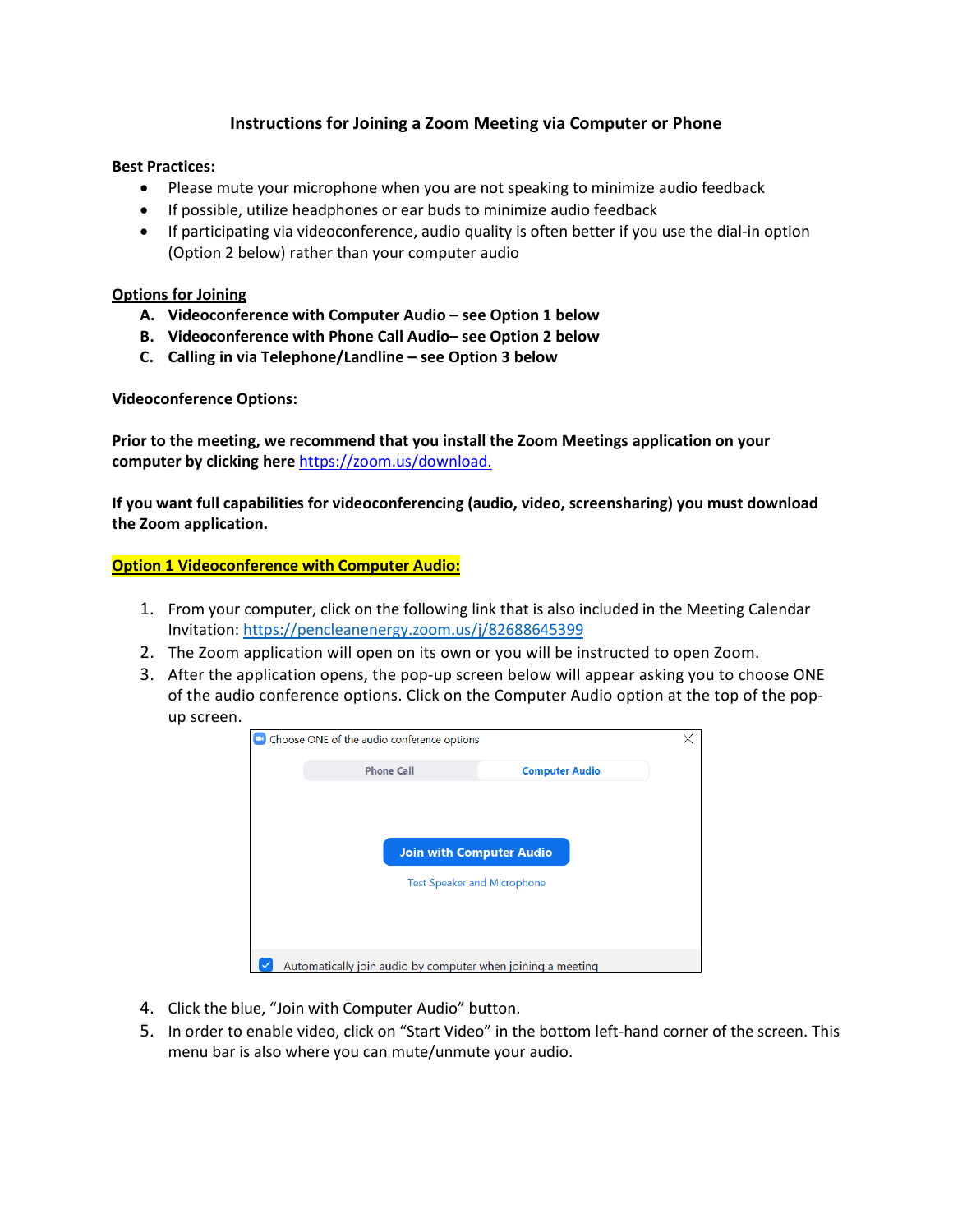# **Instructions for Joining a Zoom Meeting via Computer or Phone**

#### **Best Practices:**

- Please mute your microphone when you are not speaking to minimize audio feedback
- If possible, utilize headphones or ear buds to minimize audio feedback
- If participating via videoconference, audio quality is often better if you use the dial-in option (Option 2 below) rather than your computer audio

#### **Options for Joining**

- **A. Videoconference with Computer Audio – see Option 1 below**
- **B. Videoconference with Phone Call Audio– see Option 2 below**
- **C. Calling in via Telephone/Landline – see Option 3 below**

#### **Videoconference Options:**

**Prior to the meeting, we recommend that you install the Zoom Meetings application on your computer by clicking here** [https://zoom.us/download.](https://zoom.us/download)

**If you want full capabilities for videoconferencing (audio, video, screensharing) you must download the Zoom application.** 

**Option 1 Videoconference with Computer Audio:**

- 1. From your computer, click on the following link that is also included in the Meeting Calendar Invitation: [https://pencleanenergy.zoom.us/j/82688645399](https://pencleanenergy.zoom.us/j/82688645399?pwd=dXdnMHRFZDlDMnNSWXpPVlRmQzd3Zz09)
- 2. The Zoom application will open on its own or you will be instructed to open Zoom.
- 3. After the application opens, the pop-up screen below will appear asking you to choose ONE of the audio conference options. Click on the Computer Audio option at the top of the popup screen.



- 4. Click the blue, "Join with Computer Audio" button.
- 5. In order to enable video, click on "Start Video" in the bottom left-hand corner of the screen. This menu bar is also where you can mute/unmute your audio.